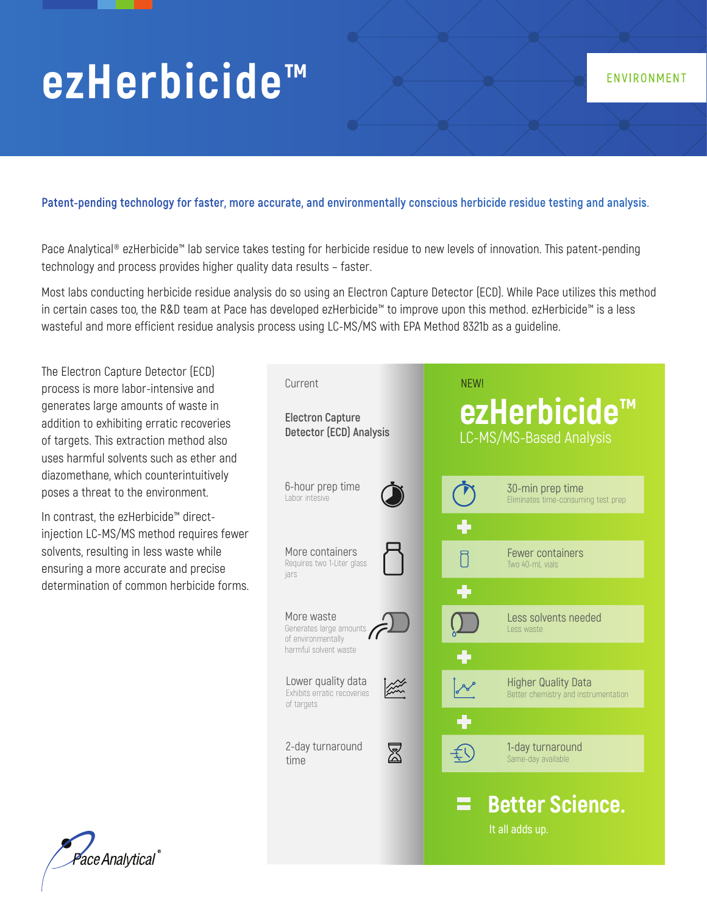# **ezHerbicide™**

#### **Patent-pending technology for faster, more accurate, and environmentally conscious herbicide residue testing and analysis.**

Pace Analytical® ezHerbicide™ lab service takes testing for herbicide residue to new levels of innovation. This patent-pending technology and process provides higher quality data results – faster.

Most labs conducting herbicide residue analysis do so using an Electron Capture Detector (ECD). While Pace utilizes this method in certain cases too, the R&D team at Pace has developed ezHerbicide™ to improve upon this method. ezHerbicide™ is a less wasteful and more efficient residue analysis process using LC-MS/MS with EPA Method 8321b as a guideline.

The Electron Capture Detector (ECD) process is more labor-intensive and generates large amounts of waste in addition to exhibiting erratic recoveries of targets. This extraction method also uses harmful solvents such as ether and diazomethane, which counterintuitively poses a threat to the environment.

In contrast, the ezHerbicide™ directinjection LC-MS/MS method requires fewer solvents, resulting in less waste while ensuring a more accurate and precise determination of common herbicide forms.



ENVIRONMENT